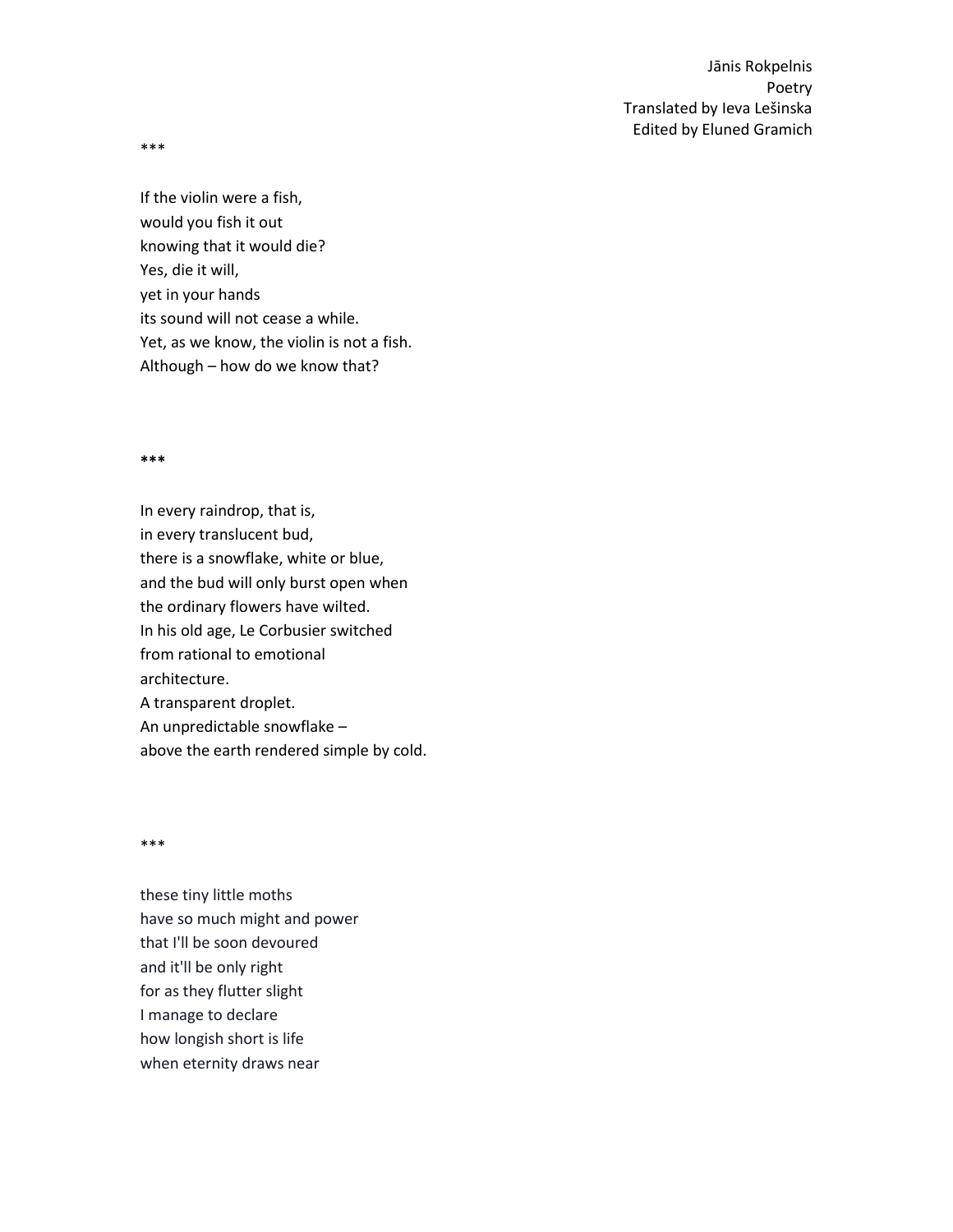\*\*\*

If the violin were a fish, would you fish it out knowing that it would die? Yes, die it will, yet in your hands its sound will not cease a while. Yet, as we know, the violin is not a fish. Although – how do we know that?

#### **\*\*\***

In every raindrop, that is, in every translucent bud, there is a snowflake, white or blue, and the bud will only burst open when the ordinary flowers have wilted. In his old age, Le Corbusier switched from rational to emotional architecture. A transparent droplet. An unpredictable snowflake – above the earth rendered simple by cold.

\*\*\*

these tiny little moths have so much might and power that I'll be soon devoured and it'll be only right for as they flutter slight I manage to declare how longish short is life when eternity draws near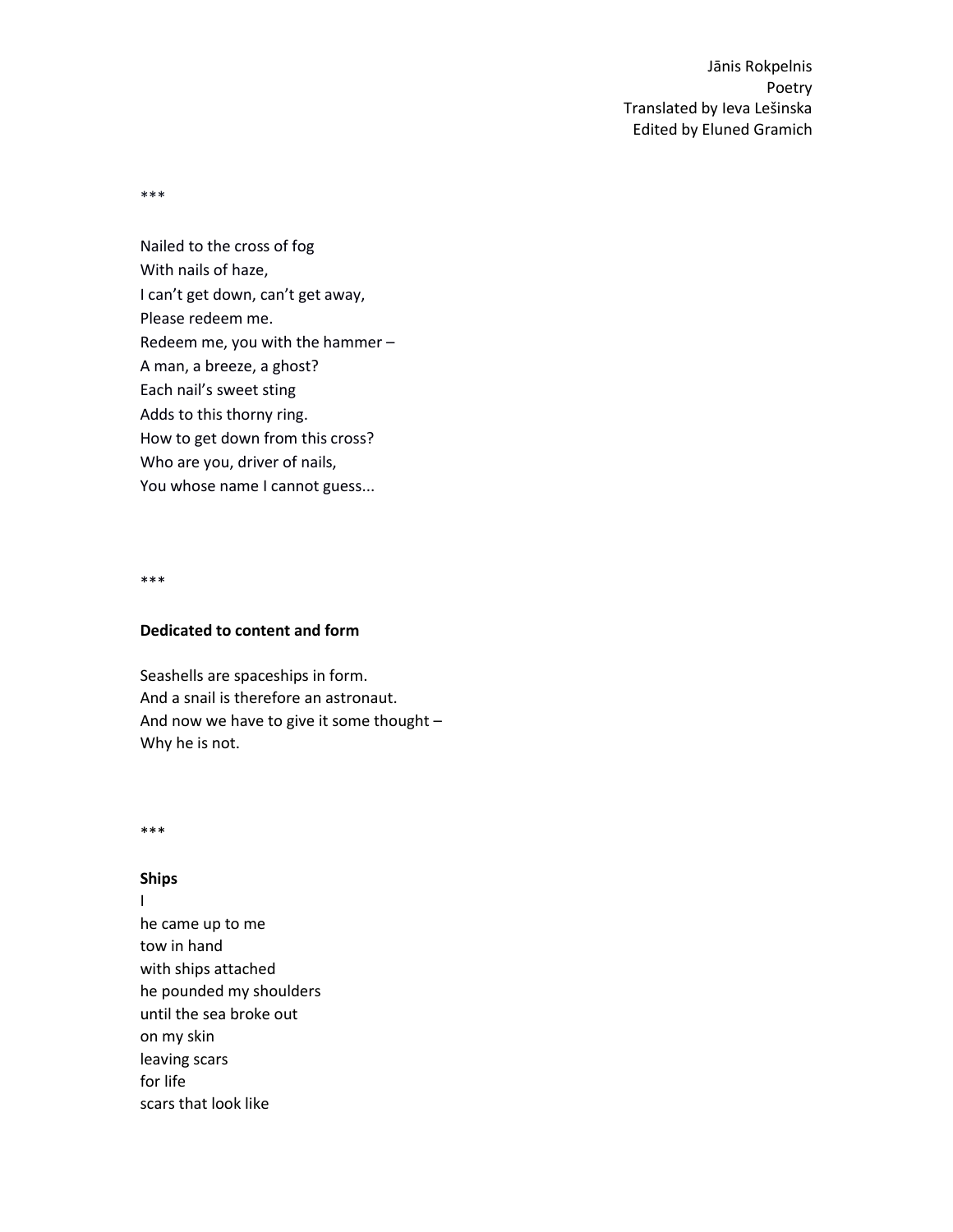\*\*\*

Nailed to the cross of fog With nails of haze, I can't get down, can't get away, Please redeem me. Redeem me, you with the hammer – A man, a breeze, a ghost? Each nail's sweet sting Adds to this thorny ring. How to get down from this cross? Who are you, driver of nails, You whose name I cannot guess...

\*\*\*

## **Dedicated to content and form**

Seashells are spaceships in form. And a snail is therefore an astronaut. And now we have to give it some thought – Why he is not.

\*\*\*

### **Ships**

- $\mathbf{I}$
- he came up to me tow in hand with ships attached he pounded my shoulders until the sea broke out on my skin leaving scars for life scars that look like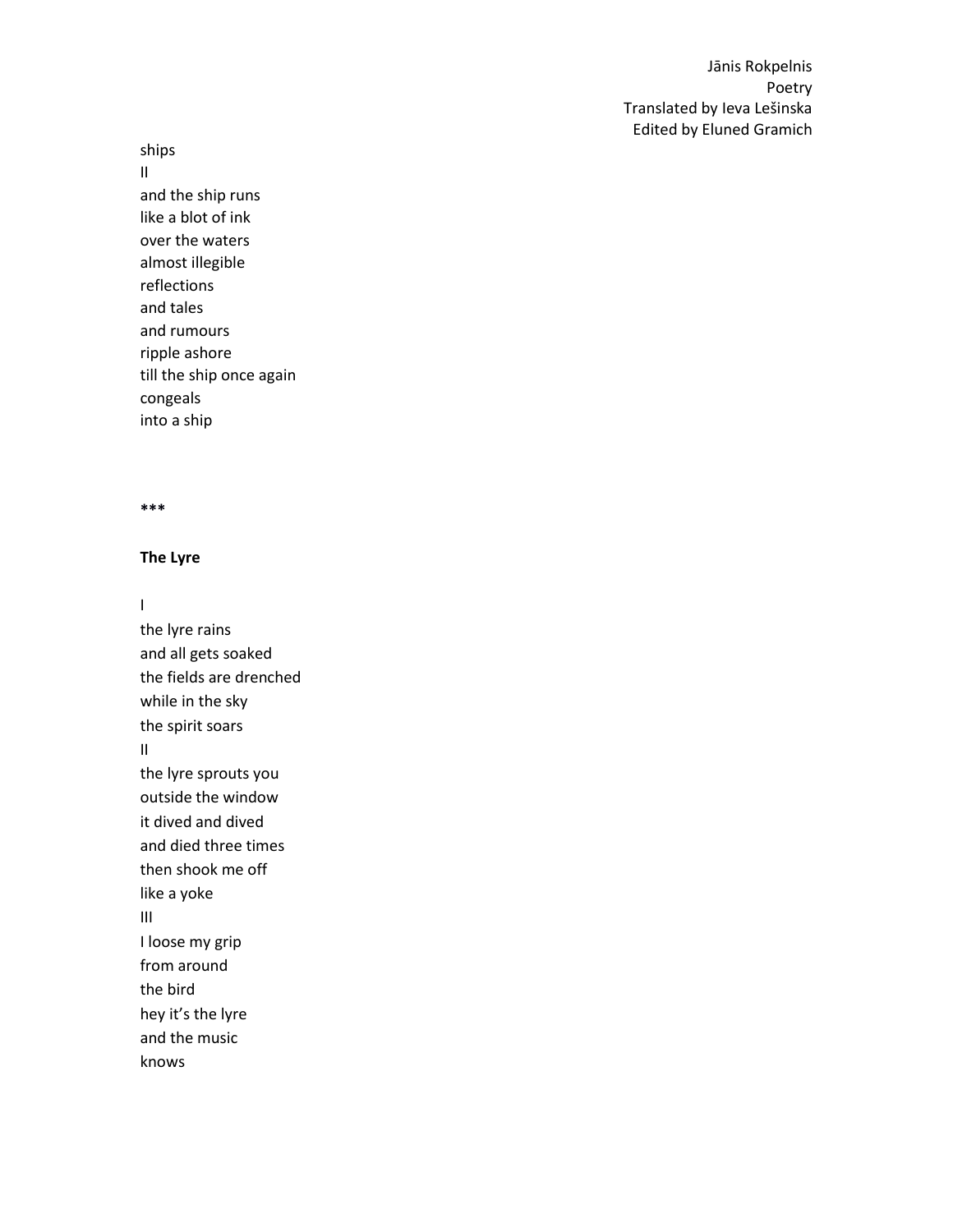ships

II and the ship runs like a blot of ink over the waters almost illegible reflections and tales and rumours ripple ashore till the ship once again congeals into a ship

### **\*\*\***

# **The Lyre**

 $\mathbf{I}$ 

the lyre rains and all gets soaked the fields are drenched while in the sky the spirit soars II the lyre sprouts you outside the window it dived and dived and died three times then shook me off like a yoke III I loose my grip from around the bird hey it's the lyre and the music knows